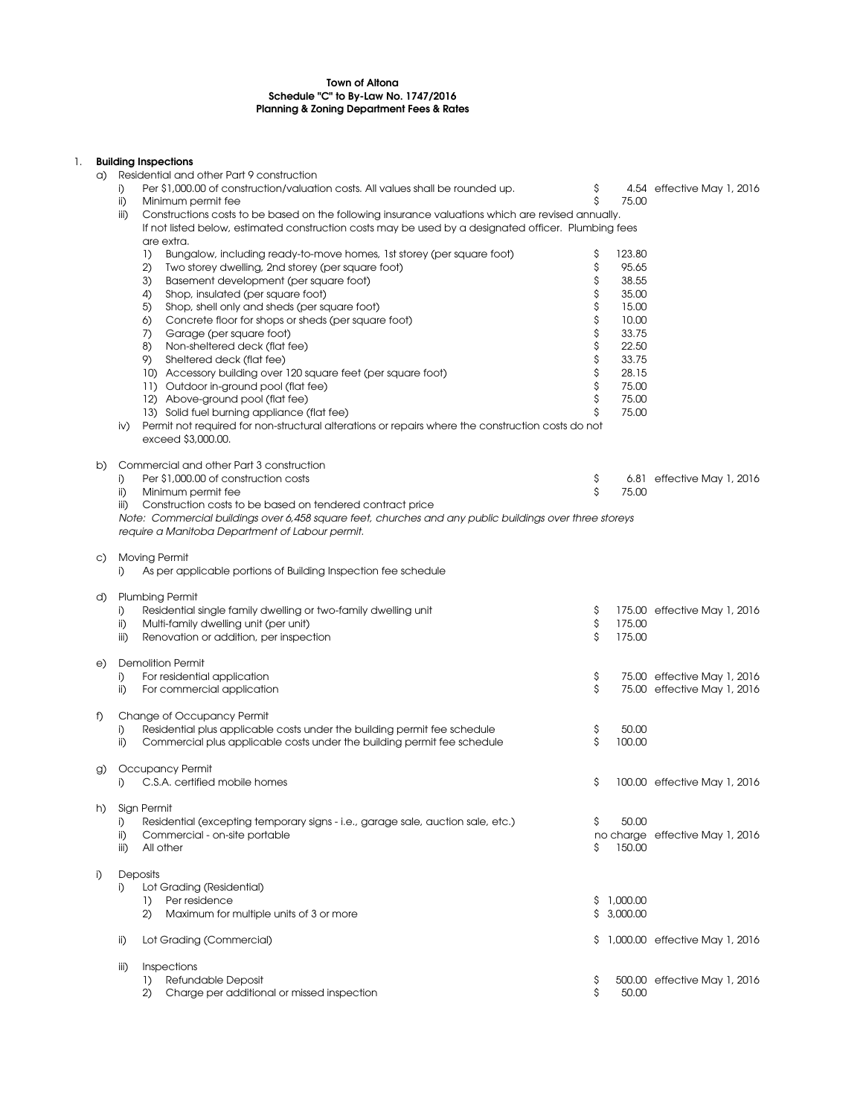## Town of Altona Schedule "C" to By-Law No. 1747/2016 Planning & Zoning Department Fees & Rates

## 1. Building Inspections

| a) | <b>DUNUILLY ILIOPOCHOLIO</b><br>Residential and other Part 9 construction |                                                                                                         |         |            |                                 |  |  |  |  |  |
|----|---------------------------------------------------------------------------|---------------------------------------------------------------------------------------------------------|---------|------------|---------------------------------|--|--|--|--|--|
|    | i)                                                                        | Per \$1,000.00 of construction/valuation costs. All values shall be rounded up.                         | \$      |            | 4.54 effective May 1, 2016      |  |  |  |  |  |
|    | ii)                                                                       | Minimum permit fee                                                                                      | \$      | 75.00      |                                 |  |  |  |  |  |
|    | iii)                                                                      | Constructions costs to be based on the following insurance valuations which are revised annually.       |         |            |                                 |  |  |  |  |  |
|    |                                                                           | If not listed below, estimated construction costs may be used by a designated officer. Plumbing fees    |         |            |                                 |  |  |  |  |  |
|    | are extra.                                                                |                                                                                                         |         |            |                                 |  |  |  |  |  |
|    |                                                                           | $\left\{ \right\}$<br>Bungalow, including ready-to-move homes, 1st storey (per square foot)             | \$      | 123.80     |                                 |  |  |  |  |  |
|    |                                                                           | 2)<br>Two storey dwelling, 2nd storey (per square foot)                                                 | \$      | 95.65      |                                 |  |  |  |  |  |
|    |                                                                           | 3)<br>Basement development (per square foot)                                                            | \$      | 38.55      |                                 |  |  |  |  |  |
|    |                                                                           | 4)<br>Shop, insulated (per square foot)                                                                 | \$      | 35.00      |                                 |  |  |  |  |  |
|    |                                                                           | 5)<br>Shop, shell only and sheds (per square foot)                                                      | \$      | 15.00      |                                 |  |  |  |  |  |
|    |                                                                           | 6)<br>Concrete floor for shops or sheds (per square foot)                                               | \$      | 10.00      |                                 |  |  |  |  |  |
|    |                                                                           | 7)<br>Garage (per square foot)                                                                          | \$      | 33.75      |                                 |  |  |  |  |  |
|    |                                                                           | 8)<br>Non-sheltered deck (flat fee)                                                                     | \$      | 22.50      |                                 |  |  |  |  |  |
|    |                                                                           | 9)<br>Sheltered deck (flat fee)                                                                         | \$      | 33.75      |                                 |  |  |  |  |  |
|    |                                                                           | 10) Accessory building over 120 square feet (per square foot)                                           | \$      | 28.15      |                                 |  |  |  |  |  |
|    |                                                                           | 11) Outdoor in-ground pool (flat fee)                                                                   | \$      | 75.00      |                                 |  |  |  |  |  |
|    |                                                                           | 12) Above-ground pool (flat fee)                                                                        | \$      | 75.00      |                                 |  |  |  |  |  |
|    |                                                                           | 13) Solid fuel burning appliance (flat fee)                                                             | \$      | 75.00      |                                 |  |  |  |  |  |
|    | iv)                                                                       | Permit not required for non-structural alterations or repairs where the construction costs do not       |         |            |                                 |  |  |  |  |  |
|    |                                                                           | exceed \$3,000.00.                                                                                      |         |            |                                 |  |  |  |  |  |
|    |                                                                           |                                                                                                         |         |            |                                 |  |  |  |  |  |
| b) |                                                                           | Commercial and other Part 3 construction                                                                |         |            |                                 |  |  |  |  |  |
|    | i)                                                                        | Per \$1,000.00 of construction costs                                                                    | \$      |            | 6.81 effective May 1, 2016      |  |  |  |  |  |
|    | ii)                                                                       | Minimum permit fee                                                                                      | \$      | 75.00      |                                 |  |  |  |  |  |
|    | iii)                                                                      | Construction costs to be based on tendered contract price                                               |         |            |                                 |  |  |  |  |  |
|    |                                                                           | Note: Commercial buildings over 6,458 square feet, churches and any public buildings over three storeys |         |            |                                 |  |  |  |  |  |
|    |                                                                           | require a Manitoba Department of Labour permit.                                                         |         |            |                                 |  |  |  |  |  |
|    |                                                                           |                                                                                                         |         |            |                                 |  |  |  |  |  |
| C) |                                                                           | <b>Moving Permit</b>                                                                                    |         |            |                                 |  |  |  |  |  |
|    | i)                                                                        | As per applicable portions of Building Inspection fee schedule                                          |         |            |                                 |  |  |  |  |  |
| d) |                                                                           | <b>Plumbing Permit</b>                                                                                  |         |            |                                 |  |  |  |  |  |
|    | i)                                                                        | Residential single family dwelling or two-family dwelling unit                                          | Ş       |            | 175.00 effective May 1, 2016    |  |  |  |  |  |
|    | ii)                                                                       | Multi-family dwelling unit (per unit)                                                                   | \$      | 175.00     |                                 |  |  |  |  |  |
|    | iii)                                                                      | Renovation or addition, per inspection                                                                  | \$      | 175.00     |                                 |  |  |  |  |  |
|    |                                                                           |                                                                                                         |         |            |                                 |  |  |  |  |  |
| e) |                                                                           | <b>Demolition Permit</b>                                                                                |         |            |                                 |  |  |  |  |  |
|    | i)                                                                        | For residential application                                                                             | \$      |            | 75.00 effective May 1, 2016     |  |  |  |  |  |
|    | ii)                                                                       | For commercial application                                                                              | \$      |            | 75.00 effective May 1, 2016     |  |  |  |  |  |
|    |                                                                           |                                                                                                         |         |            |                                 |  |  |  |  |  |
| f) |                                                                           | Change of Occupancy Permit                                                                              |         |            |                                 |  |  |  |  |  |
|    | i)                                                                        | Residential plus applicable costs under the building permit fee schedule                                | \$      | 50.00      |                                 |  |  |  |  |  |
|    | ii)                                                                       | Commercial plus applicable costs under the building permit fee schedule                                 | \$      | 100.00     |                                 |  |  |  |  |  |
|    |                                                                           |                                                                                                         |         |            |                                 |  |  |  |  |  |
| g) |                                                                           | Occupancy Permit                                                                                        |         |            |                                 |  |  |  |  |  |
|    | i)                                                                        | C.S.A. certified mobile homes                                                                           | \$      |            | 100.00 effective May 1, 2016    |  |  |  |  |  |
|    |                                                                           |                                                                                                         |         |            |                                 |  |  |  |  |  |
| h) |                                                                           | Sign Permit                                                                                             |         |            |                                 |  |  |  |  |  |
|    | i)                                                                        | Residential (excepting temporary signs - i.e., garage sale, auction sale, etc.)                         | \$      | 50.00      |                                 |  |  |  |  |  |
|    | ii)                                                                       | Commercial - on-site portable                                                                           |         |            | no charge effective May 1, 2016 |  |  |  |  |  |
|    | iii)                                                                      | All other                                                                                               | \$      | 150.00     |                                 |  |  |  |  |  |
|    |                                                                           |                                                                                                         |         |            |                                 |  |  |  |  |  |
| i) |                                                                           | <b>Deposits</b>                                                                                         |         |            |                                 |  |  |  |  |  |
|    | i)                                                                        | Lot Grading (Residential)                                                                               |         |            |                                 |  |  |  |  |  |
|    |                                                                           | Per residence<br>$\left  \right\rangle$                                                                 |         | \$1,000.00 |                                 |  |  |  |  |  |
|    |                                                                           | (2)<br>Maximum for multiple units of 3 or more                                                          |         | \$3,000.00 |                                 |  |  |  |  |  |
|    |                                                                           |                                                                                                         |         |            |                                 |  |  |  |  |  |
|    | ii)                                                                       | Lot Grading (Commercial)                                                                                | \$.     |            | 1,000.00 effective May 1, 2016  |  |  |  |  |  |
|    |                                                                           |                                                                                                         |         |            |                                 |  |  |  |  |  |
|    | iii)                                                                      | Inspections                                                                                             |         |            |                                 |  |  |  |  |  |
|    |                                                                           | Refundable Deposit<br>$\left  \right\rangle$<br>Charge per additional or missed inspection<br>2)        | Ş<br>\$ | 50.00      | 500.00 effective May 1, 2016    |  |  |  |  |  |
|    |                                                                           |                                                                                                         |         |            |                                 |  |  |  |  |  |